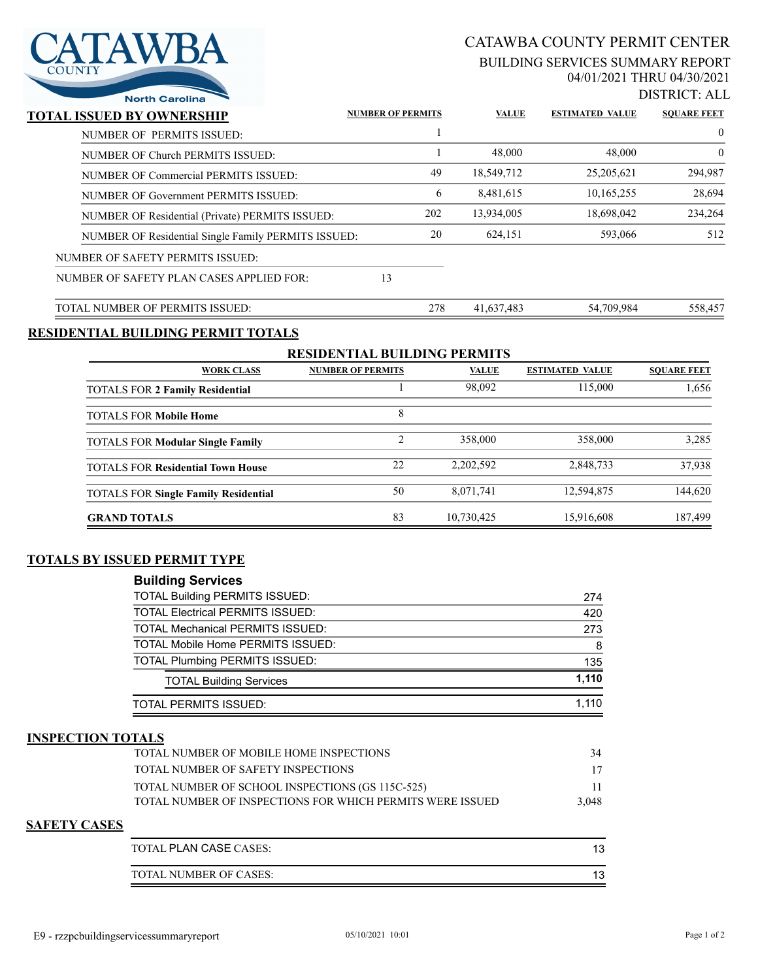

# CATAWBA COUNTY PERMIT CENTER

#### BUILDING SERVICES SUMMARY REPORT 04/01/2021 THRU 04/30/2021

DISTRICT: ALL

| <b>North Carolina</b>                               |                          |              |                        | 21911021.1 <b>1</b> |
|-----------------------------------------------------|--------------------------|--------------|------------------------|---------------------|
| TOTAL ISSUED BY OWNERSHIP                           | <b>NUMBER OF PERMITS</b> | <b>VALUE</b> | <b>ESTIMATED VALUE</b> | <b>SOUARE FEET</b>  |
| NUMBER OF PERMITS ISSUED:                           |                          |              |                        | $\overline{0}$      |
| NUMBER OF Church PERMITS ISSUED:                    |                          | 48,000       | 48,000                 | $\theta$            |
| NUMBER OF Commercial PERMITS ISSUED:                | 49                       | 18,549,712   | 25, 205, 621           | 294,987             |
| NUMBER OF Government PERMITS ISSUED:                | 6                        | 8.481.615    | 10,165,255             | 28,694              |
| NUMBER OF Residential (Private) PERMITS ISSUED:     | 202                      | 13,934,005   | 18,698,042             | 234,264             |
| NUMBER OF Residential Single Family PERMITS ISSUED: | 20                       | 624,151      | 593,066                | 512                 |
| NUMBER OF SAFETY PERMITS ISSUED:                    |                          |              |                        |                     |
| NUMBER OF SAFETY PLAN CASES APPLIED FOR:            | 13                       |              |                        |                     |
| TOTAL NUMBER OF PERMITS ISSUED:                     | 278                      | 41,637,483   | 54,709,984             | 558,457             |

## **RESIDENTIAL BUILDING PERMIT TOTALS**

| <b>RESIDENTIAL BUILDING PERMITS</b>         |                          |              |                        |                    |  |  |
|---------------------------------------------|--------------------------|--------------|------------------------|--------------------|--|--|
| <b>WORK CLASS</b>                           | <b>NUMBER OF PERMITS</b> | <b>VALUE</b> | <b>ESTIMATED VALUE</b> | <b>SOUARE FEET</b> |  |  |
| <b>TOTALS FOR 2 Family Residential</b>      |                          | 98,092       | 115,000                | 1,656              |  |  |
| <b>TOTALS FOR Mobile Home</b>               | 8                        |              |                        |                    |  |  |
| <b>TOTALS FOR Modular Single Family</b>     | ↑                        | 358,000      | 358,000                | 3.285              |  |  |
| <b>TOTALS FOR Residential Town House</b>    | 22                       | 2,202,592    | 2,848,733              | 37,938             |  |  |
| <b>TOTALS FOR Single Family Residential</b> | 50                       | 8,071,741    | 12,594,875             | 144,620            |  |  |
| <b>GRAND TOTALS</b>                         | 83                       | 10,730,425   | 15,916,608             | 187,499            |  |  |

### **TOTALS BY ISSUED PERMIT TYPE**

| <b>Building Services</b>                 |       |
|------------------------------------------|-------|
| <b>TOTAL Building PERMITS ISSUED:</b>    | 274   |
| <b>TOTAL Electrical PERMITS ISSUED:</b>  | 420   |
| <b>TOTAL Mechanical PERMITS ISSUED:</b>  | 273   |
| <b>TOTAL Mobile Home PERMITS ISSUED:</b> | 8     |
| <b>TOTAL Plumbing PERMITS ISSUED:</b>    | 135   |
| <b>TOTAL Building Services</b>           | 1.110 |
| <b>TOTAL PERMITS ISSUED:</b>             | 1.110 |

### **INSPECTION TOTALS**

| <b>TOTAL NUMBER OF MOBILE HOME INSPECTIONS</b>             | 34    |
|------------------------------------------------------------|-------|
| TOTAL NUMBER OF SAFETY INSPECTIONS                         | 17    |
| TOTAL NUMBER OF SCHOOL INSPECTIONS (GS 115C-525)           |       |
| TOTAL NUMBER OF INSPECTIONS FOR WHICH PERMITS WERE ISSUED. | 3.048 |

#### **SAFETY CASES**

| TOTAL PLAN CASE CASES: |  |
|------------------------|--|
| TOTAL NUMBER OF CASES: |  |